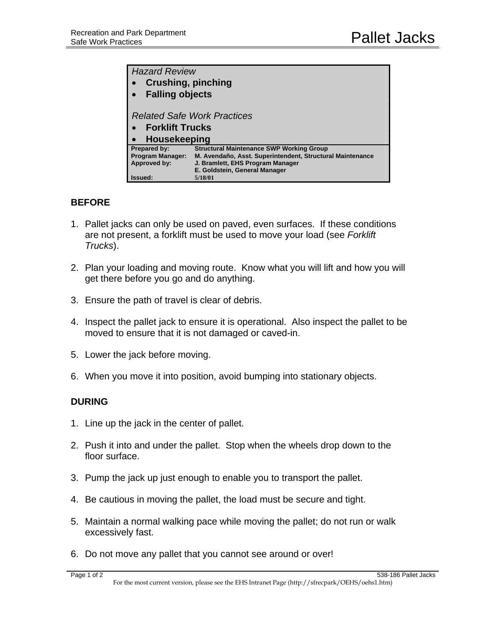| <b>Hazard Review</b><br><b>Crushing, pinching</b><br>$\bullet$<br><b>Falling objects</b> |                                                                                                              |
|------------------------------------------------------------------------------------------|--------------------------------------------------------------------------------------------------------------|
| <b>Related Safe Work Practices</b><br>• Forklift Trucks<br>Housekeeping                  |                                                                                                              |
| Prepared by:<br><b>Program Manager:</b>                                                  | <b>Structural Maintenance SWP Working Group</b><br>M. Avendaño, Asst. Superintendent, Structural Maintenance |
| Approved by:                                                                             | J. Bramlett, EHS Program Manager<br>E. Goldstein, General Manager                                            |
| Issued:                                                                                  | 5/18/01                                                                                                      |

## **BEFORE**

- 1. Pallet jacks can only be used on paved, even surfaces. If these conditions are not present, a forklift must be used to move your load (see *Forklift Trucks*).
- 2. Plan your loading and moving route. Know what you will lift and how you will get there before you go and do anything.
- 3. Ensure the path of travel is clear of debris.
- 4. Inspect the pallet jack to ensure it is operational. Also inspect the pallet to be moved to ensure that it is not damaged or caved-in.
- 5. Lower the jack before moving.
- 6. When you move it into position, avoid bumping into stationary objects.

## **DURING**

- 1. Line up the jack in the center of pallet.
- 2. Push it into and under the pallet. Stop when the wheels drop down to the floor surface.
- 3. Pump the jack up just enough to enable you to transport the pallet.
- 4. Be cautious in moving the pallet, the load must be secure and tight.
- 5. Maintain a normal walking pace while moving the pallet; do not run or walk excessively fast.
- 6. Do not move any pallet that you cannot see around or over!